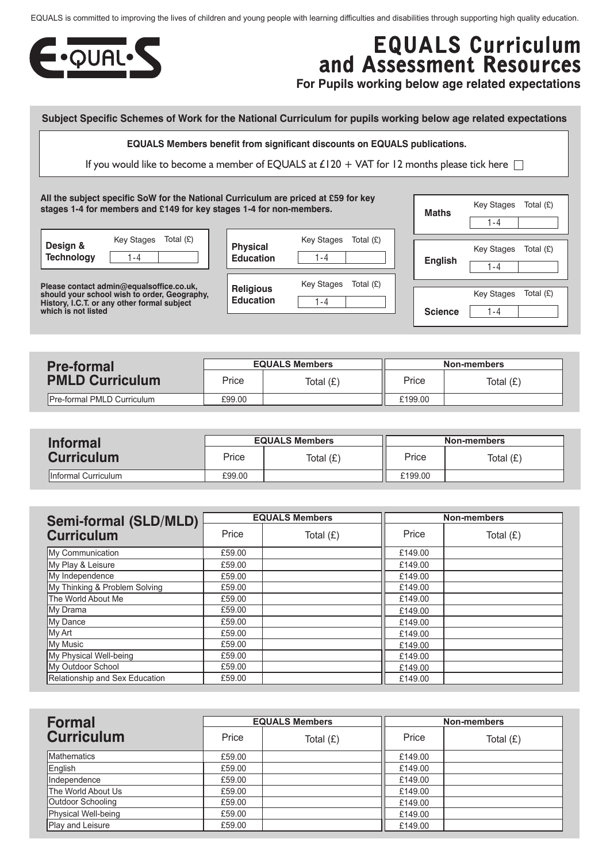EQUALS is committed to improving the lives of children and young people with learning difficulties and disabilities through supporting high quality education.



## **EQUALS Curriculum and Assessment Resources**

**For Pupils working below age related expectations**

## **Subject Specific Schemes of Work for the National Curriculum for pupils working below age related expectations**

**EQUALS Members benefit from significant discounts on EQUALS publications.**

If you would like to become a member of EQUALS at £120 + VAT for 12 months please tick here  $\Box$ 

**All the subject specific SoW for the National Curriculum are priced at £59 for key stages 1-4 for members and £149 for key stages 1-4 for non-members.**

| Design &          | Key Stages Total $(E)$ |  |
|-------------------|------------------------|--|
| <b>Technology</b> | - 4                    |  |

**Please contact admin@equalsoffice.co.uk, should your school wish to order, Geography, History, I.C.T. or any other formal subject which is not listed**

| <b>Physical</b><br><b>Education</b> | Key Stages<br>1 - 4 | Total $(E)$ |
|-------------------------------------|---------------------|-------------|
|                                     |                     |             |
| <b>Religious</b>                    | Key Stages          | Total $(E)$ |
| <b>Education</b>                    | 1 - 4               |             |
|                                     |                     |             |

| <b>Maths</b>   | Key Stages Total (£) |  |
|----------------|----------------------|--|
|                | $1 - 4$              |  |
|                | Key Stages Total (£) |  |
| <b>English</b> | 1-4                  |  |
|                | Key Stages Total (£) |  |
| <b>Science</b> | 1 - 4                |  |

| <b>Pre-formal</b>                  | <b>EQUALS Members</b> |  | Non-members |             |
|------------------------------------|-----------------------|--|-------------|-------------|
| <b>PMLD Curriculum</b>             | Price<br>Total (£)    |  | Price       | Total $(E)$ |
| <b>IPre-formal PMLD Curriculum</b> | £99.00                |  | £199.00     |             |

| <b>Informal</b>     | <b>EQUALS Members</b> |  | Non-members |             |
|---------------------|-----------------------|--|-------------|-------------|
| <b>Curriculum</b>   | Price<br>Total $(E)$  |  | Price       | Total $(E)$ |
| Informal Curriculum | £99.00                |  | £199.00     |             |

| <b>Semi-formal (SLD/MLD)</b>   | <b>EQUALS Members</b> |           |         |             |  | <b>Non-members</b> |
|--------------------------------|-----------------------|-----------|---------|-------------|--|--------------------|
| <b>Curriculum</b>              | Price                 | Total (£) | Price   | Total $(E)$ |  |                    |
| My Communication               | £59.00                |           | £149.00 |             |  |                    |
| My Play & Leisure              | £59.00                |           | £149.00 |             |  |                    |
| My Independence                | £59.00                |           | £149.00 |             |  |                    |
| My Thinking & Problem Solving  | £59.00                |           | £149.00 |             |  |                    |
| The World About Me             | £59.00                |           | £149.00 |             |  |                    |
| My Drama                       | £59.00                |           | £149.00 |             |  |                    |
| My Dance                       | £59.00                |           | £149.00 |             |  |                    |
| My Art                         | £59.00                |           | £149.00 |             |  |                    |
| My Music                       | £59.00                |           | £149.00 |             |  |                    |
| My Physical Well-being         | £59.00                |           | £149.00 |             |  |                    |
| My Outdoor School              | £59.00                |           | £149.00 |             |  |                    |
| Relationship and Sex Education | £59.00                |           | £149.00 |             |  |                    |

| <b>Formal</b>       | <b>EQUALS Members</b> |           | <b>Non-members</b> |             |
|---------------------|-----------------------|-----------|--------------------|-------------|
| <b>Curriculum</b>   | Price                 | Total (£) | Price              | Total $(E)$ |
| <b>Mathematics</b>  | £59.00                |           | £149.00            |             |
| English             | £59.00                |           | £149.00            |             |
| Independence        | £59.00                |           | £149.00            |             |
| The World About Us  | £59.00                |           | £149.00            |             |
| Outdoor Schooling   | £59.00                |           | £149.00            |             |
| Physical Well-being | £59.00                |           | £149.00            |             |
| Play and Leisure    | £59.00                |           | £149.00            |             |